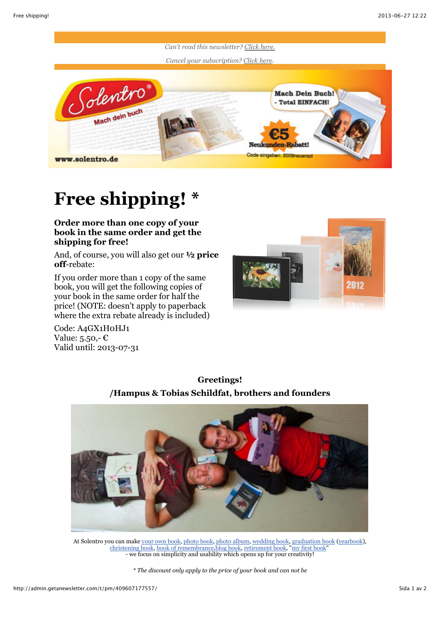

## **Free shipping! \***

## **Order more than one copy of your book in the same order and get the shipping for free!**

And, of course, you will also get our **½ price off**-rebate:

If you order more than 1 copy of the same book, you will get the following copies of your book in the same order for half the price! (NOTE: doesn't apply to paperback where the extra rebate already is included)

Code: A4GX1H0HJ1 Value: 5.50,- $\epsilon$ Valid until: 2013-07-31







At Solentro you can make [your own book,](http://solentro.com/my_own_book) [photo book, photo album,](http://solentro.com/photo_book) [wedding book,](http://solentro.com/wedding_book) [graduation book](http://solentro.com/graduation_yearbook) ([yearbook\)](http://solentro.com/graduation_yearbook), [christening book,](http://solentro.com/christening_book) [book of remembrance](http://solentro.com/book_of_remembrance)[,blog book,](http://solentro.com/blog_to_book) [retirement book](http://solentro.com/retirement_book), ["my first book"](http://solentro.com/my_first_book) - we focus on simplicity and usability which opens up for your creativity!

*\* The discount only apply to the price of your book and can not be*